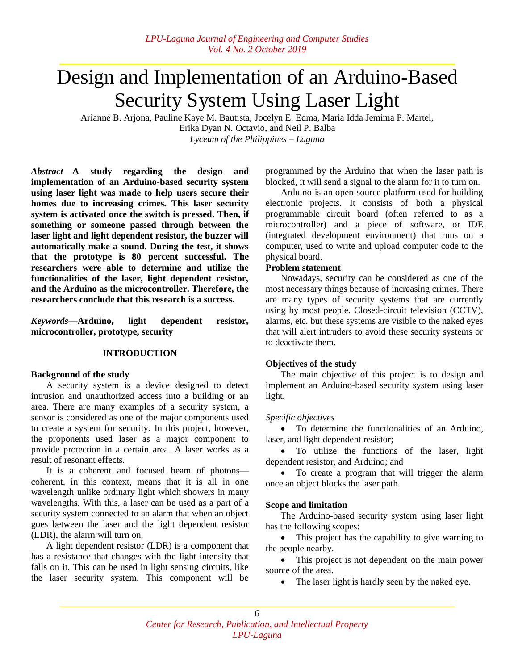# Design and Implementation of an Arduino-Based Security System Using Laser Light

Arianne B. Arjona, Pauline Kaye M. Bautista, Jocelyn E. Edma, Maria Idda Jemima P. Martel, Erika Dyan N. Octavio, and Neil P. Balba *Lyceum of the Philippines – Laguna*

*Abstract—***A study regarding the design and implementation of an Arduino-based security system using laser light was made to help users secure their homes due to increasing crimes. This laser security system is activated once the switch is pressed. Then, if something or someone passed through between the laser light and light dependent resistor, the buzzer will automatically make a sound. During the test, it shows that the prototype is 80 percent successful. The researchers were able to determine and utilize the functionalities of the laser, light dependent resistor, and the Arduino as the microcontroller. Therefore, the researchers conclude that this research is a success.**

*Keywords—***Arduino, light dependent resistor, microcontroller, prototype, security**

## **INTRODUCTION**

## **Background of the study**

A security system is a device designed to detect intrusion and unauthorized access into a building or an area. There are many examples of a security system, a sensor is considered as one of the major components used to create a system for security. In this project, however, the proponents used laser as a major component to provide protection in a certain area. A laser works as a result of resonant effects.

It is a coherent and focused beam of [photons](https://whatis.techtarget.com/definition/photon) coherent, in this context, means that it is all in one [wavelength](https://searchnetworking.techtarget.com/definition/wavelength) unlike ordinary light which showers in many wavelengths. With this, a laser can be used as a part of a security system connected to an alarm that when an object goes between the laser and the light dependent resistor (LDR), the alarm will turn on.

A light dependent resistor (LDR) is a component that has a resistance that changes with the light intensity that falls on it. This can be used in light sensing circuits, like the laser security system. This component will be

programmed by the Arduino that when the laser path is blocked, it will send a signal to the alarm for it to turn on.

[Arduino](http://arduino.cc/) is an open-source platform used for building electronic projects. It consists of both a physical programmable circuit board (often referred to as a [microcontroller\)](http://en.wikipedia.org/wiki/Microcontroller) and a piece of [software,](http://arduino.cc/en/Main/Software) or IDE (integrated development environment) that runs on a computer, used to write and upload computer code to the physical board.

## **Problem statement**

Nowadays, security can be considered as one of the most necessary things because of increasing crimes. There are many types of security systems that are currently using by most people. Closed-circuit television (CCTV), alarms, etc. but these systems are visible to the naked eyes that will alert intruders to avoid these security systems or to deactivate them.

# **Objectives of the study**

The main objective of this project is to design and implement an Arduino-based security system using laser light.

## *Specific objectives*

 To determine the functionalities of an Arduino, laser, and light dependent resistor;

 To utilize the functions of the laser, light dependent resistor, and Arduino; and

• To create a program that will trigger the alarm once an object blocks the laser path.

# **Scope and limitation**

The Arduino-based security system using laser light has the following scopes:

• This project has the capability to give warning to the people nearby.

• This project is not dependent on the main power source of the area.

• The laser light is hardly seen by the naked eye.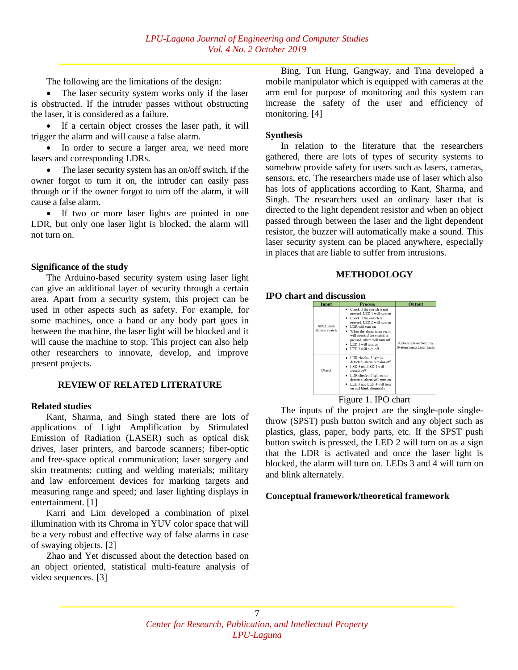The following are the limitations of the design:

 The laser security system works only if the laser is obstructed. If the intruder passes without obstructing the laser, it is considered as a failure.

 If a certain object crosses the laser path, it will trigger the alarm and will cause a false alarm.

 In order to secure a larger area, we need more lasers and corresponding LDRs.

 The laser security system has an on/off switch, if the owner forgot to turn it on, the intruder can easily pass through or if the owner forgot to turn off the alarm, it will cause a false alarm.

 If two or more laser lights are pointed in one LDR, but only one laser light is blocked, the alarm will not turn on.

## **Significance of the study**

The Arduino-based security system using laser light can give an additional layer of security through a certain area. Apart from a security system, this project can be used in other aspects such as safety. For example, for some machines, once a hand or any body part goes in between the machine, the laser light will be blocked and it will cause the machine to stop. This project can also help other researchers to innovate, develop, and improve present projects.

## **REVIEW OF RELATED LITERATURE**

## **Related studies**

Kant, Sharma, and Singh stated there are lots of applications of Light Amplification by Stimulated Emission of Radiation (LASER) such as optical disk drives, laser printers, and barcode scanners; fiber-optic and free-space optical communication; laser surgery and skin treatments; cutting and welding materials; military and law enforcement devices for marking targets and measuring range and speed; and laser lighting displays in entertainment. [1]

Karri and Lim developed a combination of pixel illumination with its Chroma in YUV color space that will be a very robust and effective way of false alarms in case of swaying objects. [2]

Zhao and Yet discussed about the detection based on an object oriented, statistical multi-feature analysis of video sequences. [3]

Bing, Tun Hung, Gangway, and Tina developed a mobile manipulator which is equipped with cameras at the arm end for purpose of monitoring and this system can increase the safety of the user and efficiency of monitoring. [4]

## **Synthesis**

In relation to the literature that the researchers gathered, there are lots of types of security systems to somehow provide safety for users such as lasers, cameras, sensors, etc. The researchers made use of laser which also has lots of applications according to Kant, Sharma, and Singh. The researchers used an ordinary laser that is directed to the light dependent resistor and when an object passed through between the laser and the light dependent resistor, the buzzer will automatically make a sound. This laser security system can be placed anywhere, especially in places that are liable to suffer from intrusions.

# **METHODOLOGY**

## **IPO chart and discussion**



Figure 1. IPO chart

The inputs of the project are the single-pole singlethrow (SPST) push button switch and any object such as plastics, glass, paper, body parts, etc. If the SPST push button switch is pressed, the LED 2 will turn on as a sign that the LDR is activated and once the laser light is blocked, the alarm will turn on. LEDs 3 and 4 will turn on and blink alternately.

# **Conceptual framework/theoretical framework**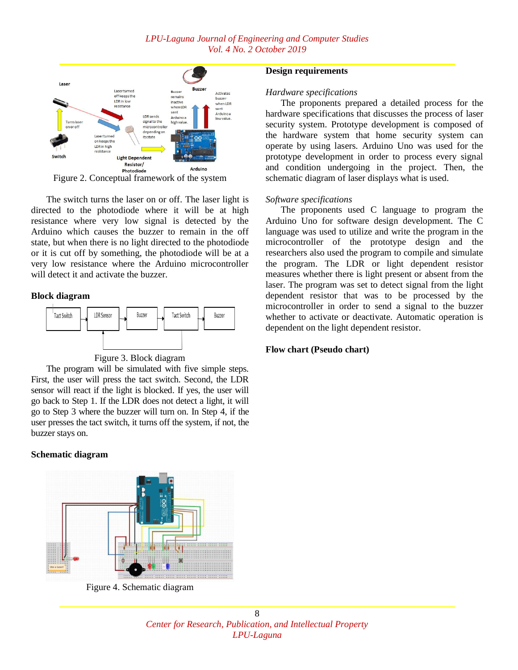

The switch turns the laser on or off. The laser light is directed to the photodiode where it will be at high resistance where very low signal is detected by the Arduino which causes the buzzer to remain in the off state, but when there is no light directed to the photodiode or it is cut off by something, the photodiode will be at a very low resistance where the Arduino microcontroller will detect it and activate the buzzer.

#### **Block diagram**



Figure 3. Block diagram

The program will be simulated with five simple steps. First, the user will press the tact switch. Second, the LDR sensor will react if the light is blocked. If yes, the user will go back to Step 1. If the LDR does not detect a light, it will go to Step 3 where the buzzer will turn on. In Step 4, if the user presses the tact switch, it turns off the system, if not, the buzzer stays on.

#### **Schematic diagram**



Figure 4. Schematic diagram

#### **Design requirements**

#### *Hardware specifications*

The proponents prepared a detailed process for the hardware specifications that discusses the process of laser security system. Prototype development is composed of the hardware system that home security system can operate by using lasers. Arduino Uno was used for the prototype development in order to process every signal and condition undergoing in the project. Then, the schematic diagram of laser displays what is used.

#### *Software specifications*

The proponents used C language to program the Arduino Uno for software design development. The C language was used to utilize and write the program in the microcontroller of the prototype design and the researchers also used the program to compile and simulate the program. The LDR or light dependent resistor measures whether there is light present or absent from the laser. The program was set to detect signal from the light dependent resistor that was to be processed by the microcontroller in order to send a signal to the buzzer whether to activate or deactivate. Automatic operation is dependent on the light dependent resistor.

#### **Flow chart (Pseudo chart)**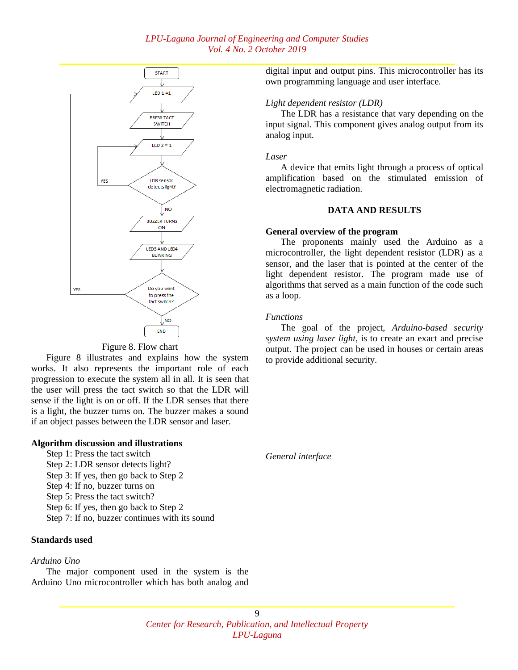

Figure 8. Flow chart

Figure 8 illustrates and explains how the system works. It also represents the important role of each progression to execute the system all in all. It is seen that the user will press the tact switch so that the LDR will sense if the light is on or off. If the LDR senses that there is a light, the buzzer turns on. The buzzer makes a sound if an object passes between the LDR sensor and laser.

## **Algorithm discussion and illustrations**

- Step 1: Press the tact switch
- Step 2: LDR sensor detects light?
- Step 3: If yes, then go back to Step 2
- Step 4: If no, buzzer turns on
- Step 5: Press the tact switch?
- Step 6: If yes, then go back to Step 2
- Step 7: If no, buzzer continues with its sound

# **Standards used**

#### *Arduino Uno*

The major component used in the system is the Arduino Uno microcontroller which has both analog and digital input and output pins. This microcontroller has its own programming language and user interface.

## *Light dependent resistor (LDR)*

The LDR has a resistance that vary depending on the input signal. This component gives analog output from its analog input.

#### *Laser*

A device that emits light through a process of optical amplification based on the stimulated emission of electromagnetic radiation.

## **DATA AND RESULTS**

#### **General overview of the program**

The proponents mainly used the Arduino as a microcontroller, the light dependent resistor (LDR) as a sensor, and the laser that is pointed at the center of the light dependent resistor. The program made use of algorithms that served as a main function of the code such as a loop.

#### *Functions*

The goal of the project, *Arduino-based security system using laser light*, is to create an exact and precise output. The project can be used in houses or certain areas to provide additional security.

*General interface*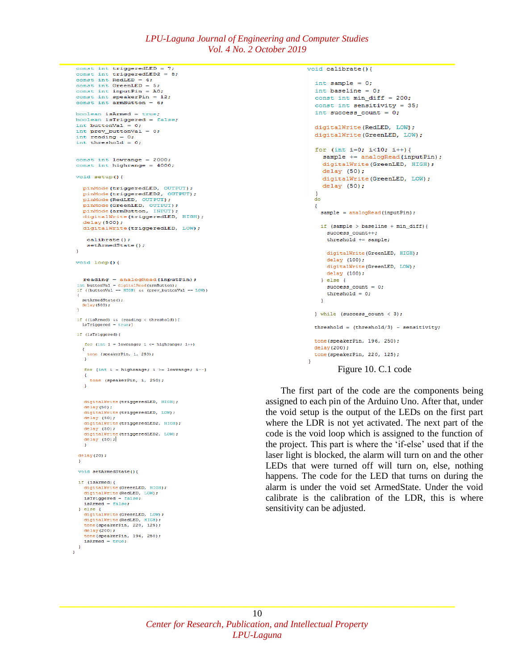```
const int triggeredLED2 = 8;
const int RedLED = 4;<br>const int GreenLED = 5;
 const int inputPin = A0;
 const int speakerPin = 12;
 const int armButton = 6;
 boolean isArmed = true;boolean isTriggered = false;int buttonVal = 0;
 int prev_buttonVal = 0;
 int reading = 0;
 int threshold = 0;
 const int lowrange = 2000;
 const int highrange = 4000;
 void setup(){
   pinMode(triggeredLED, OUTPUT);
    pinMode(triggeredLED2, OUTPUT);
    pinMode(RedLED, OUTPUT);
    pinMode(GreenLED, OUTPUT);
    pinMode(armButton, INPUT);
    digitalWrite(triggeredLED, HIGH);
   delav(500):digitalWrite(triggeredLED, LOW);
     calibrate();
     setArmedState();
 \mathbf{r}void loop()reading = analogRead(inputPin);\begin{aligned} & \text{int buttonVal} = \text{digitalRead}(\text{armButton})\,; \\ & \text{if } \text{ (buttonVal} == \text{HIGH) as } (\text{prev_buttonVal} == \text{LOW})\, \end{aligned}setArmedState();
   delay(500);\overline{1}if ((isArmed) \epsilon\epsilon (reading < threshold)){<br>isTriggered = true;}
 if (isTriggered) /
    for (int i = lowrange; i \leq highrange; i++)
     tone (speakerPin, i, 250);
    \overline{1}for (int i = highrange; i >= lowrange; i--)
      tone (speakerPin. i. 250):
    \mathbf{r}digitalWrite(triggeredLED, HIGH);
    delay(50);digitalWrite(triggeredLED, LOW):
    delay (50);
    digitalWrite(triggeredLED2, HIGH);
    delay (50);
    digitalWrite(triggeredLED2, LOW);
    delay(50);delay(20);void setArmedState(){
  if (isArmed){
    digitalWrite(GreenLED, HIGH);
    digitalWrite(RedLED, LOW);<br>isTriggered = false;
    isArmed = false:
  } else \{digitalWrite(GreenLED, LOW);
    digitalWrite(RedLED, HIGH);<br>tone(speakerPin, 220, 125);
    delav(200):
     cone(speakerPin, 196, 250);
    isArmed = true;\overline{\mathbf{1}}\mathbf{r}
```

```
int sample = 0;
 int baseline = 0:
 const int min\_diff = 200;
 const int sensitivity = 35;
 int success_count = 0;
 digitalWrite(RedLED, LOW);
 digitalWrite(GreenLED, LOW);
 for (int i=0; i<10; i++) {
    sample += analogRead(inputPin);
   digitalWrite(GreenLED, HIGH);
    delay(50);digitalWrite(GreenLED, LOW);
   delay(50);\frac{1}{d}\mathbf{f}sample = analogRead(inputPin);if (sample > baseline + min diff) {
     success_count++;threshold += sample;
     digitalWrite(GreenLED, HIGH);
     delay(100);digitalWrite(GreenLED, LOW);
     delay(100);\} else {
     success count = 0:
     threshold = 0;
   \mathbf{1}} while (success_count < 3);
 threshold = (threshold/3) - sensitivity;
 tone (speakerPin, 196, 250);
 delay(200);
 tone(speakerPin, 220, 125);
\overline{\mathbf{1}}
```
#### Figure 10. C.1 code

The first part of the code are the components being assigned to each pin of the Arduino Uno. After that, under the void setup is the output of the LEDs on the first part where the LDR is not yet activated. The next part of the code is the void loop which is assigned to the function of the project. This part is where the 'if-else' used that if the laser light is blocked, the alarm will turn on and the other LEDs that were turned off will turn on, else, nothing happens. The code for the LED that turns on during the alarm is under the void set ArmedState. Under the void calibrate is the calibration of the LDR, this is where sensitivity can be adjusted.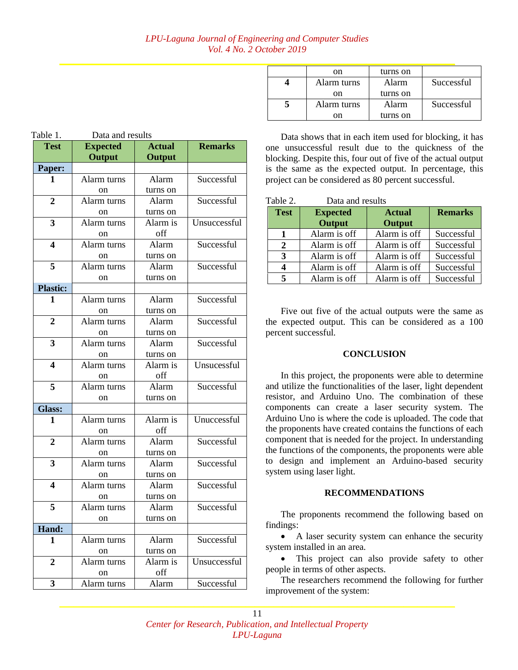| Table 1.                | Data and results |               |                |  |  |
|-------------------------|------------------|---------------|----------------|--|--|
| <b>Test</b>             | <b>Expected</b>  | <b>Actual</b> | <b>Remarks</b> |  |  |
|                         | Output           | <b>Output</b> |                |  |  |
| Paper:                  |                  |               |                |  |  |
| 1                       | Alarm turns      | Alarm         | Successful     |  |  |
|                         | on               | turns on      |                |  |  |
| $\overline{2}$          | Alarm turns      | Alarm         | Successful     |  |  |
|                         | on               | turns on      |                |  |  |
| 3                       | Alarm turns      | Alarm is      | Unsuccessful   |  |  |
|                         | on               | off           |                |  |  |
| $\overline{\mathbf{4}}$ | Alarm turns      | Alarm         | Successful     |  |  |
|                         | on               | turns on      |                |  |  |
| 5                       | Alarm turns      | Alarm         | Successful     |  |  |
|                         | on               | turns on      |                |  |  |
| <b>Plastic:</b>         |                  |               |                |  |  |
| 1                       | Alarm turns      | Alarm         | Successful     |  |  |
|                         | on               | turns on      |                |  |  |
| $\overline{2}$          | Alarm turns      | Alarm         | Successful     |  |  |
|                         | on               | turns on      |                |  |  |
| 3                       | Alarm turns      | Alarm         | Successful     |  |  |
|                         | on               | turns on      |                |  |  |
| 4                       | Alarm turns      | Alarm is      | Unsucessful    |  |  |
|                         | on               | off           |                |  |  |
| 5                       | Alarm turns      | Alarm         | Successful     |  |  |
|                         | on               | turns on      |                |  |  |
| <b>Glass:</b>           |                  |               |                |  |  |
| 1                       | Alarm turns      | Alarm is      | Unuccessful    |  |  |
|                         | on               | off           |                |  |  |
| $\overline{2}$          | Alarm turns      | Alarm         | Successful     |  |  |
|                         | on               | turns on      |                |  |  |
| 3                       | Alarm turns      | Alarm         | Successful     |  |  |
|                         | on               | turns on      |                |  |  |
| 4                       | Alarm turns      | Alarm         | Successful     |  |  |
|                         | on               | turns on      |                |  |  |
| 5                       | Alarm turns      | Alarm         | Successful     |  |  |
|                         | on               | turns on      |                |  |  |
| Hand:                   |                  |               |                |  |  |
| 1                       | Alarm turns      | Alarm         | Successful     |  |  |
|                         | on               | turns on      |                |  |  |
| 2                       | Alarm turns      | Alarm is      | Unsuccessful   |  |  |
|                         | on               | off           |                |  |  |
| 3                       | Alarm turns      | Alarm         | Successful     |  |  |

| on          | turns on |            |
|-------------|----------|------------|
| Alarm turns | Alarm    | Successful |
| on          | turns on |            |
| Alarm turns | Alarm    | Successful |
| on          | turns on |            |

Data shows that in each item used for blocking, it has one unsuccessful result due to the quickness of the blocking. Despite this, four out of five of the actual output is the same as the expected output. In percentage, this project can be considered as 80 percent successful.

| Table 2.    | Data and results |               |                |
|-------------|------------------|---------------|----------------|
| <b>Test</b> | <b>Expected</b>  | <b>Actual</b> | <b>Remarks</b> |
|             | Output           | Output        |                |
|             | Alarm is off     | Alarm is off  | Successful     |
| 2           | Alarm is off     | Alarm is off  | Successful     |
| 3           | Alarm is off     | Alarm is off  | Successful     |
| 4           | Alarm is off     | Alarm is off  | Successful     |
| 5           | Alarm is off     | Alarm is off  | Successful     |

Five out five of the actual outputs were the same as the expected output. This can be considered as a 100 percent successful.

# **CONCLUSION**

In this project, the proponents were able to determine and utilize the functionalities of the laser, light dependent resistor, and Arduino Uno. The combination of these components can create a laser security system. The Arduino Uno is where the code is uploaded. The code that the proponents have created contains the functions of each component that is needed for the project. In understanding the functions of the components, the proponents were able to design and implement an Arduino-based security system using laser light.

## **RECOMMENDATIONS**

The proponents recommend the following based on findings:

• A laser security system can enhance the security system installed in an area.

 This project can also provide safety to other people in terms of other aspects.

The researchers recommend the following for further improvement of the system: